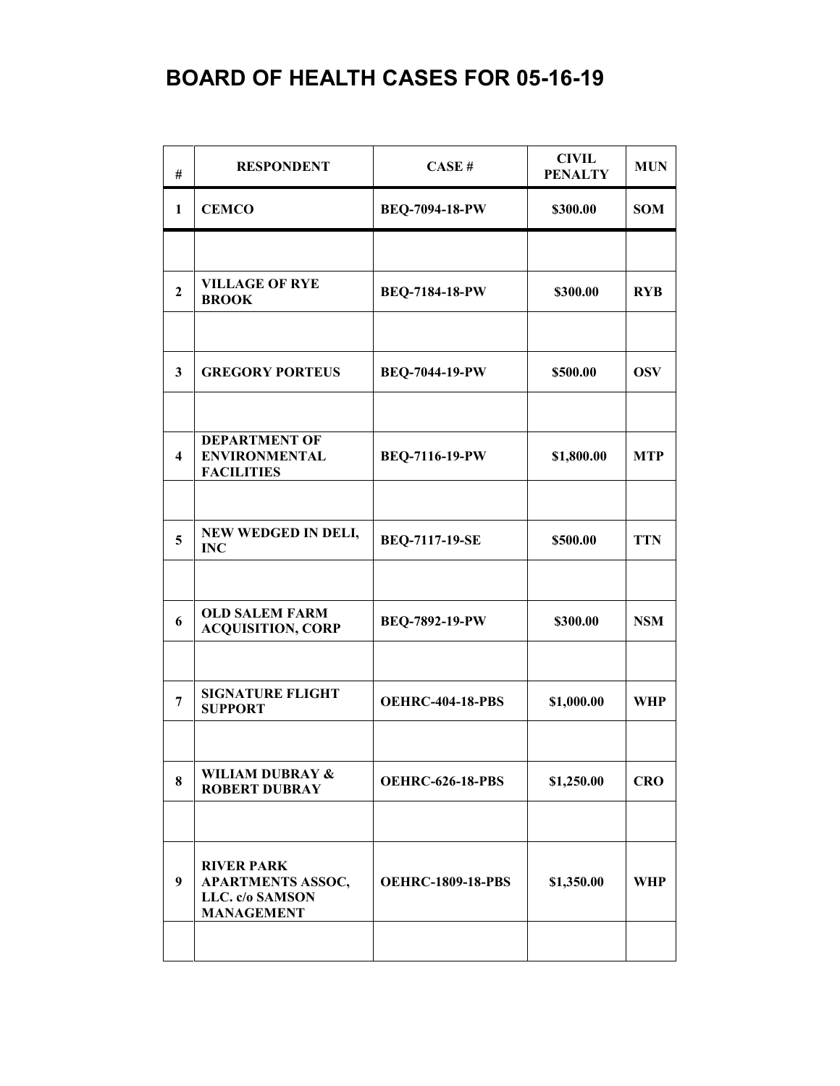| #                       | <b>RESPONDENT</b>                                                                     | <b>CASE#</b>             | <b>CIVIL</b><br><b>PENALTY</b> | <b>MUN</b> |
|-------------------------|---------------------------------------------------------------------------------------|--------------------------|--------------------------------|------------|
| 1                       | <b>CEMCO</b>                                                                          | <b>BEQ-7094-18-PW</b>    | \$300.00                       | <b>SOM</b> |
|                         |                                                                                       |                          |                                |            |
| $\overline{2}$          | <b>VILLAGE OF RYE</b><br><b>BROOK</b>                                                 | BEQ-7184-18-PW           | \$300.00                       | <b>RYB</b> |
|                         |                                                                                       |                          |                                |            |
| 3                       | <b>GREGORY PORTEUS</b>                                                                | <b>BEQ-7044-19-PW</b>    | \$500.00                       | <b>OSV</b> |
|                         |                                                                                       |                          |                                |            |
| $\overline{\mathbf{4}}$ | <b>DEPARTMENT OF</b><br><b>ENVIRONMENTAL</b><br><b>FACILITIES</b>                     | BEQ-7116-19-PW           | \$1,800.00                     | <b>MTP</b> |
|                         |                                                                                       |                          |                                |            |
| 5                       | NEW WEDGED IN DELI,<br><b>INC</b>                                                     | <b>BEQ-7117-19-SE</b>    | \$500.00                       | <b>TTN</b> |
|                         |                                                                                       |                          |                                |            |
| 6                       | <b>OLD SALEM FARM</b><br><b>ACQUISITION, CORP</b>                                     | BEQ-7892-19-PW           | \$300.00                       | <b>NSM</b> |
|                         |                                                                                       |                          |                                |            |
| 7                       | <b>SIGNATURE FLIGHT</b><br><b>SUPPORT</b>                                             | <b>OEHRC-404-18-PBS</b>  | \$1,000.00                     | WHP        |
|                         |                                                                                       |                          |                                |            |
| 8                       | <b>WILIAM DUBRAY &amp;</b><br><b>ROBERT DUBRAY</b>                                    | <b>OEHRC-626-18-PBS</b>  | \$1,250.00                     | <b>CRO</b> |
|                         |                                                                                       |                          |                                |            |
| 9                       | <b>RIVER PARK</b><br><b>APARTMENTS ASSOC,</b><br>LLC. c/o SAMSON<br><b>MANAGEMENT</b> | <b>OEHRC-1809-18-PBS</b> | \$1,350.00                     | WHP        |
|                         |                                                                                       |                          |                                |            |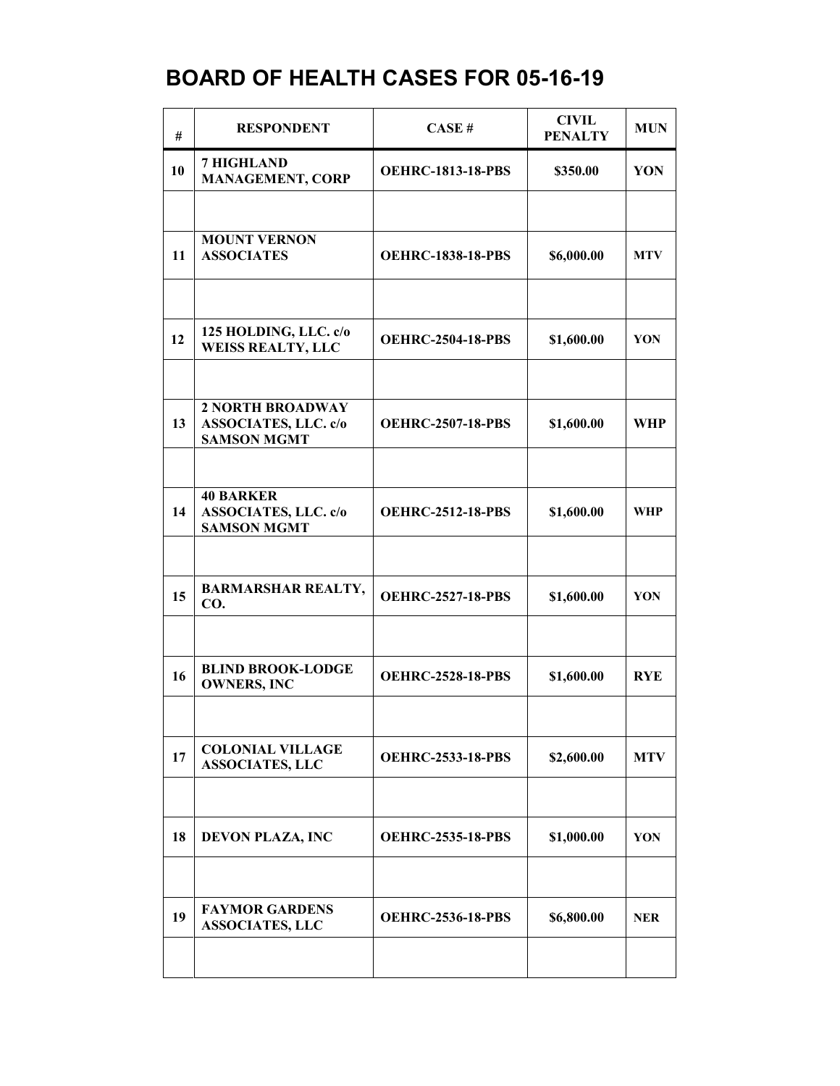| #  | <b>RESPONDENT</b>                                                     | CASE#                    | <b>CIVIL</b><br><b>PENALTY</b> | <b>MUN</b> |
|----|-----------------------------------------------------------------------|--------------------------|--------------------------------|------------|
| 10 | <b>7 HIGHLAND</b><br><b>MANAGEMENT, CORP</b>                          | <b>OEHRC-1813-18-PBS</b> | \$350.00                       | YON        |
|    | <b>MOUNT VERNON</b>                                                   |                          |                                |            |
| 11 | <b>ASSOCIATES</b>                                                     | <b>OEHRC-1838-18-PBS</b> | \$6,000.00                     | <b>MTV</b> |
|    |                                                                       |                          |                                |            |
| 12 | 125 HOLDING, LLC. c/o<br><b>WEISS REALTY, LLC</b>                     | <b>OEHRC-2504-18-PBS</b> | \$1,600.00                     | YON        |
|    | <b>2 NORTH BROADWAY</b>                                               |                          |                                |            |
| 13 | <b>ASSOCIATES, LLC. c/o</b><br><b>SAMSON MGMT</b>                     | <b>OEHRC-2507-18-PBS</b> | \$1,600.00                     | <b>WHP</b> |
|    |                                                                       |                          |                                |            |
| 14 | <b>40 BARKER</b><br><b>ASSOCIATES, LLC. c/o</b><br><b>SAMSON MGMT</b> | <b>OEHRC-2512-18-PBS</b> | \$1,600.00                     | <b>WHP</b> |
|    |                                                                       |                          |                                |            |
| 15 | <b>BARMARSHAR REALTY,</b><br>CO.                                      | <b>OEHRC-2527-18-PBS</b> | \$1,600.00                     | YON        |
|    |                                                                       |                          |                                |            |
| 16 | <b>BLIND BROOK-LODGE</b><br><b>OWNERS, INC</b>                        | <b>OEHRC-2528-18-PBS</b> | \$1,600.00                     | <b>RYE</b> |
|    |                                                                       |                          |                                |            |
| 17 | <b>COLONIAL VILLAGE</b><br><b>ASSOCIATES, LLC</b>                     | <b>OEHRC-2533-18-PBS</b> | \$2,600.00                     | <b>MTV</b> |
|    |                                                                       |                          |                                |            |
| 18 | <b>DEVON PLAZA, INC</b>                                               | <b>OEHRC-2535-18-PBS</b> | \$1,000.00                     | YON        |
|    |                                                                       |                          |                                |            |
| 19 | <b>FAYMOR GARDENS</b><br><b>ASSOCIATES, LLC</b>                       | <b>OEHRC-2536-18-PBS</b> | \$6,800.00                     | <b>NER</b> |
|    |                                                                       |                          |                                |            |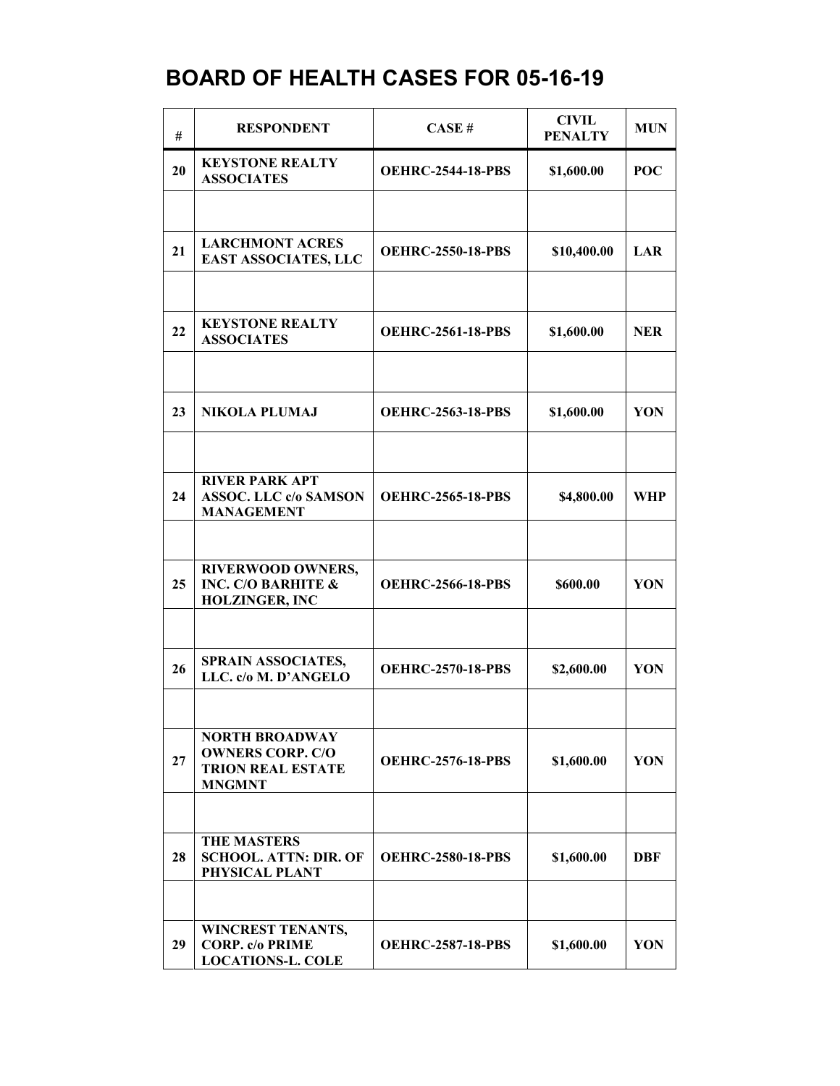| #  | <b>RESPONDENT</b>                                                                             | CASE#                    | <b>CIVIL</b><br><b>PENALTY</b> | <b>MUN</b> |
|----|-----------------------------------------------------------------------------------------------|--------------------------|--------------------------------|------------|
| 20 | <b>KEYSTONE REALTY</b><br><b>ASSOCIATES</b>                                                   | <b>OEHRC-2544-18-PBS</b> | \$1,600.00                     | POC        |
|    |                                                                                               |                          |                                |            |
| 21 | <b>LARCHMONT ACRES</b><br><b>EAST ASSOCIATES, LLC</b>                                         | <b>OEHRC-2550-18-PBS</b> | \$10,400.00                    | LAR        |
|    |                                                                                               |                          |                                |            |
| 22 | <b>KEYSTONE REALTY</b><br><b>ASSOCIATES</b>                                                   | <b>OEHRC-2561-18-PBS</b> | \$1,600.00                     | <b>NER</b> |
|    |                                                                                               |                          |                                |            |
| 23 | <b>NIKOLA PLUMAJ</b>                                                                          | <b>OEHRC-2563-18-PBS</b> | \$1,600.00                     | YON        |
|    |                                                                                               |                          |                                |            |
| 24 | <b>RIVER PARK APT</b><br><b>ASSOC. LLC c/o SAMSON</b><br><b>MANAGEMENT</b>                    | <b>OEHRC-2565-18-PBS</b> | \$4,800.00                     | WHP        |
|    |                                                                                               |                          |                                |            |
| 25 | <b>RIVERWOOD OWNERS,</b><br><b>INC. C/O BARHITE &amp;</b><br><b>HOLZINGER, INC</b>            | <b>OEHRC-2566-18-PBS</b> | \$600.00                       | YON        |
|    |                                                                                               |                          |                                |            |
| 26 | SPRAIN ASSOCIATES,<br>LLC. c/o M. D'ANGELO                                                    | <b>OEHRC-2570-18-PBS</b> | \$2,600.00                     | YON        |
|    |                                                                                               |                          |                                |            |
| 27 | <b>NORTH BROADWAY</b><br><b>OWNERS CORP. C/O</b><br><b>TRION REAL ESTATE</b><br><b>MNGMNT</b> | <b>OEHRC-2576-18-PBS</b> | \$1,600.00                     | YON        |
|    |                                                                                               |                          |                                |            |
| 28 | <b>THE MASTERS</b><br><b>SCHOOL. ATTN: DIR. OF</b><br>PHYSICAL PLANT                          | <b>OEHRC-2580-18-PBS</b> | \$1,600.00                     | <b>DBF</b> |
|    |                                                                                               |                          |                                |            |
| 29 | <b>WINCREST TENANTS,</b><br><b>CORP.</b> c/o PRIME<br><b>LOCATIONS-L. COLE</b>                | <b>OEHRC-2587-18-PBS</b> | \$1,600.00                     | YON        |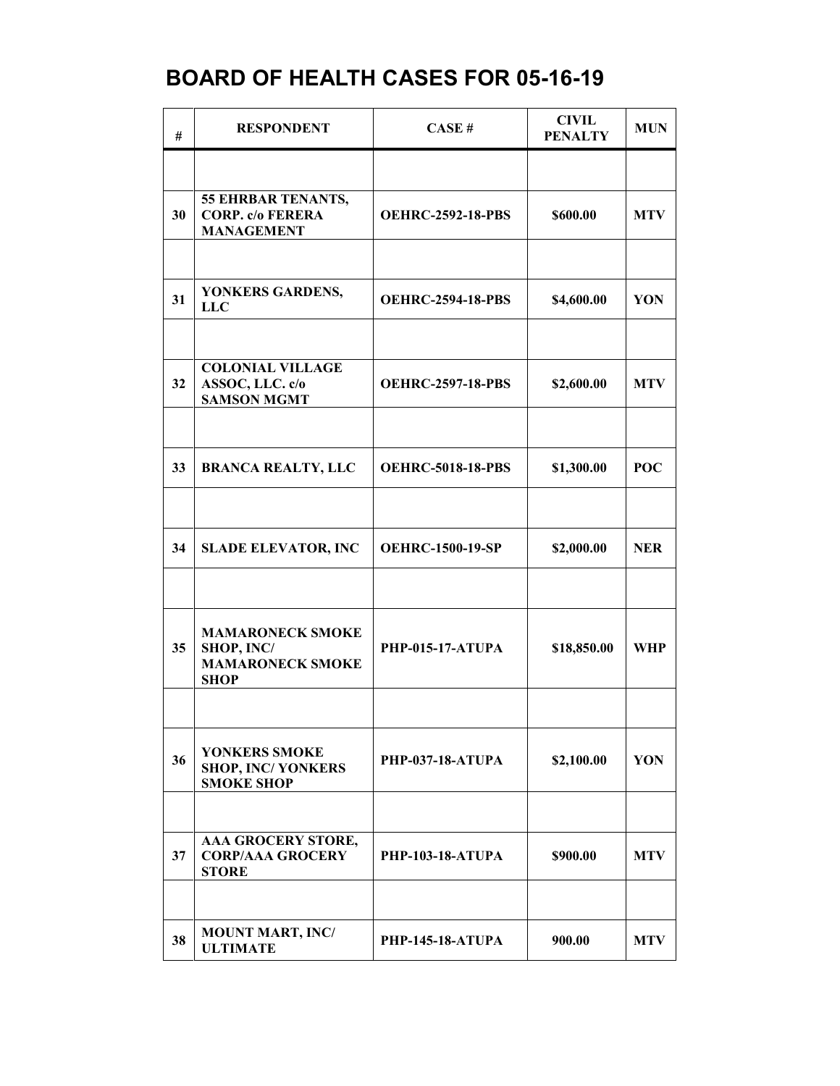| #  | <b>RESPONDENT</b>                                                               | CASE#                    | <b>CIVIL</b><br><b>PENALTY</b> | <b>MUN</b> |
|----|---------------------------------------------------------------------------------|--------------------------|--------------------------------|------------|
|    |                                                                                 |                          |                                |            |
| 30 | 55 EHRBAR TENANTS,<br><b>CORP.</b> c/o FERERA<br><b>MANAGEMENT</b>              | <b>OEHRC-2592-18-PBS</b> | \$600.00                       | <b>MTV</b> |
|    |                                                                                 |                          |                                |            |
| 31 | YONKERS GARDENS,<br><b>LLC</b>                                                  | <b>OEHRC-2594-18-PBS</b> | \$4,600.00                     | YON        |
|    |                                                                                 |                          |                                |            |
| 32 | <b>COLONIAL VILLAGE</b><br>ASSOC, LLC. c/o<br><b>SAMSON MGMT</b>                | <b>OEHRC-2597-18-PBS</b> | \$2,600.00                     | <b>MTV</b> |
|    |                                                                                 |                          |                                |            |
| 33 | <b>BRANCA REALTY, LLC</b>                                                       | <b>OEHRC-5018-18-PBS</b> | \$1,300.00                     | <b>POC</b> |
|    |                                                                                 |                          |                                |            |
| 34 | <b>SLADE ELEVATOR, INC</b>                                                      | <b>OEHRC-1500-19-SP</b>  | \$2,000.00                     | <b>NER</b> |
|    |                                                                                 |                          |                                |            |
| 35 | <b>MAMARONECK SMOKE</b><br>SHOP, INC/<br><b>MAMARONECK SMOKE</b><br><b>SHOP</b> | <b>PHP-015-17-ATUPA</b>  | \$18,850.00                    | WHP        |
|    |                                                                                 |                          |                                |            |
| 36 | YONKERS SMOKE<br><b>SHOP, INC/ YONKERS</b><br><b>SMOKE SHOP</b>                 | <b>PHP-037-18-ATUPA</b>  | \$2,100.00                     | YON        |
|    |                                                                                 |                          |                                |            |
| 37 | AAA GROCERY STORE,<br><b>CORP/AAA GROCERY</b><br><b>STORE</b>                   | <b>PHP-103-18-ATUPA</b>  | \$900.00                       | <b>MTV</b> |
|    |                                                                                 |                          |                                |            |
| 38 | <b>MOUNT MART, INC/</b><br><b>ULTIMATE</b>                                      | <b>PHP-145-18-ATUPA</b>  | 900.00                         | <b>MTV</b> |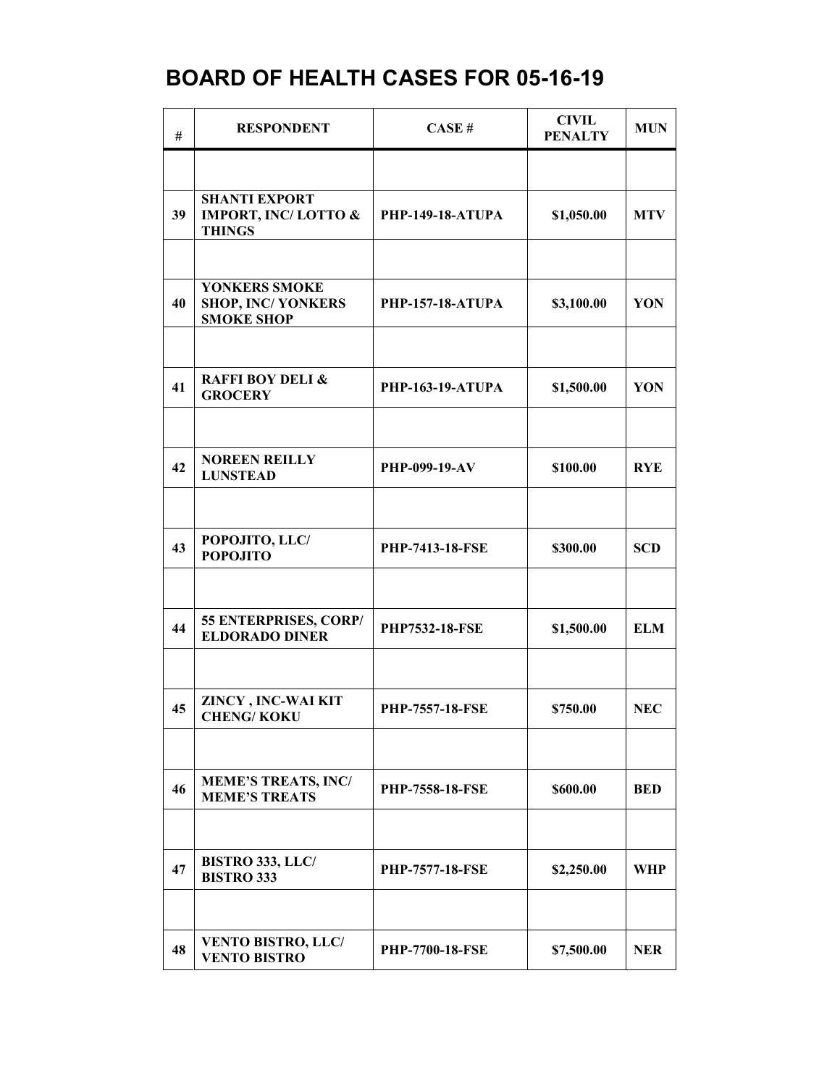| #  | <b>RESPONDENT</b>                                                       | CASE#                   | <b>CIVIL</b><br><b>PENALTY</b> | <b>MUN</b> |
|----|-------------------------------------------------------------------------|-------------------------|--------------------------------|------------|
|    |                                                                         |                         |                                |            |
| 39 | <b>SHANTI EXPORT</b><br><b>IMPORT, INC/LOTTO &amp;</b><br><b>THINGS</b> | <b>PHP-149-18-ATUPA</b> | \$1,050.00                     | <b>MTV</b> |
|    |                                                                         |                         |                                |            |
| 40 | YONKERS SMOKE<br><b>SHOP, INC/YONKERS</b><br><b>SMOKE SHOP</b>          | <b>PHP-157-18-ATUPA</b> | \$3,100.00                     | YON        |
|    |                                                                         |                         |                                |            |
| 41 | <b>RAFFI BOY DELI &amp;</b><br><b>GROCERY</b>                           | <b>PHP-163-19-ATUPA</b> | \$1,500.00                     | YON        |
|    |                                                                         |                         |                                |            |
| 42 | <b>NOREEN REILLY</b><br><b>LUNSTEAD</b>                                 | PHP-099-19-AV           | \$100.00                       | <b>RYE</b> |
|    |                                                                         |                         |                                |            |
| 43 | POPOJITO, LLC/<br><b>POPOJITO</b>                                       | <b>PHP-7413-18-FSE</b>  | \$300.00                       | <b>SCD</b> |
|    |                                                                         |                         |                                |            |
| 44 | 55 ENTERPRISES, CORP/<br><b>ELDORADO DINER</b>                          | <b>PHP7532-18-FSE</b>   | \$1,500.00                     | <b>ELM</b> |
|    |                                                                         |                         |                                |            |
| 45 | ZINCY, INC-WAI KIT<br><b>CHENG/KOKU</b>                                 | <b>PHP-7557-18-FSE</b>  | \$750.00                       | <b>NEC</b> |
|    |                                                                         |                         |                                |            |
| 46 | <b>MEME'S TREATS, INC/</b><br><b>MEME'S TREATS</b>                      | <b>PHP-7558-18-FSE</b>  | \$600.00                       | <b>BED</b> |
|    |                                                                         |                         |                                |            |
| 47 | <b>BISTRO 333, LLC/</b><br><b>BISTRO 333</b>                            | <b>PHP-7577-18-FSE</b>  | \$2,250.00                     | WHP        |
|    |                                                                         |                         |                                |            |
| 48 | <b>VENTO BISTRO, LLC/</b><br><b>VENTO BISTRO</b>                        | <b>PHP-7700-18-FSE</b>  | \$7,500.00                     | <b>NER</b> |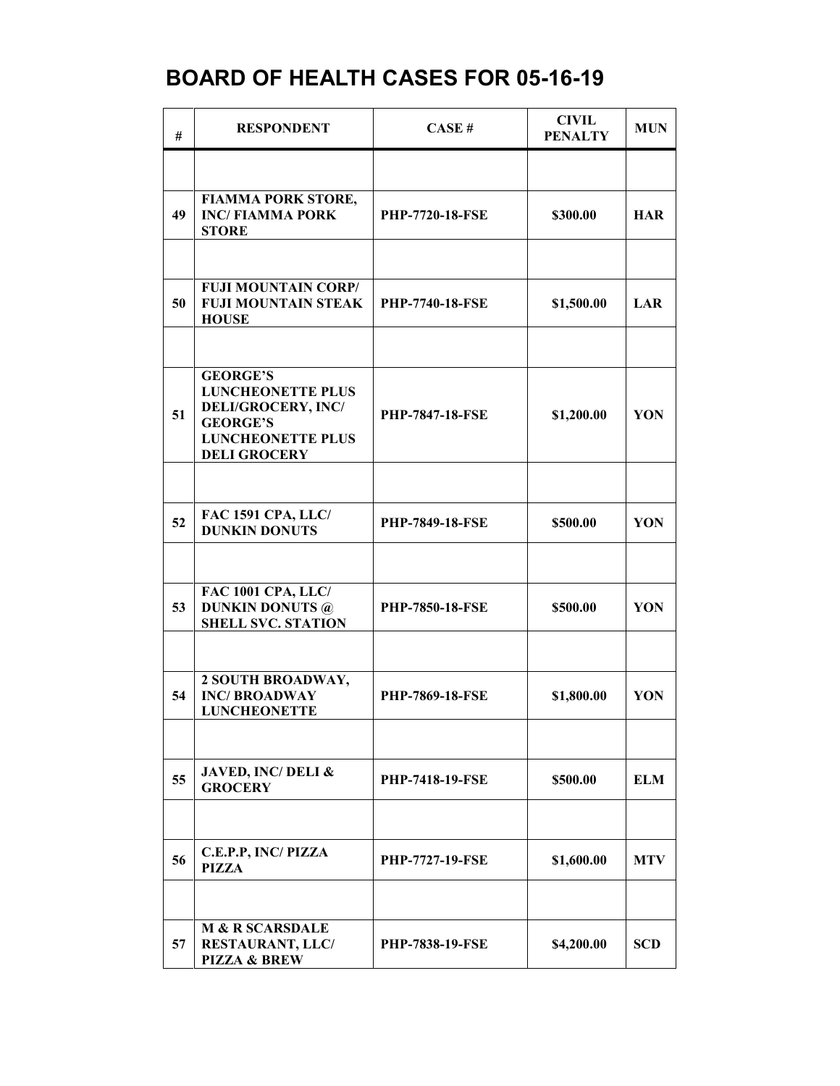| #  | <b>RESPONDENT</b>                                                                                                                              | CASE#                  | <b>CIVIL</b><br><b>PENALTY</b> | <b>MUN</b> |
|----|------------------------------------------------------------------------------------------------------------------------------------------------|------------------------|--------------------------------|------------|
|    |                                                                                                                                                |                        |                                |            |
| 49 | <b>FIAMMA PORK STORE,</b><br><b>INC/FIAMMA PORK</b><br><b>STORE</b>                                                                            | <b>PHP-7720-18-FSE</b> | \$300.00                       | <b>HAR</b> |
|    |                                                                                                                                                |                        |                                |            |
| 50 | <b>FUJI MOUNTAIN CORP/</b><br><b>FUJI MOUNTAIN STEAK</b><br><b>HOUSE</b>                                                                       | <b>PHP-7740-18-FSE</b> | \$1,500.00                     | <b>LAR</b> |
|    |                                                                                                                                                |                        |                                |            |
| 51 | <b>GEORGE'S</b><br><b>LUNCHEONETTE PLUS</b><br><b>DELI/GROCERY, INC/</b><br><b>GEORGE'S</b><br><b>LUNCHEONETTE PLUS</b><br><b>DELI GROCERY</b> | PHP-7847-18-FSE        | \$1,200.00                     | YON        |
|    |                                                                                                                                                |                        |                                |            |
| 52 | FAC 1591 CPA, LLC/<br><b>DUNKIN DONUTS</b>                                                                                                     | <b>PHP-7849-18-FSE</b> | \$500.00                       | YON        |
|    |                                                                                                                                                |                        |                                |            |
| 53 | FAC 1001 CPA, LLC/<br><b>DUNKIN DONUTS @</b><br><b>SHELL SVC. STATION</b>                                                                      | <b>PHP-7850-18-FSE</b> | \$500.00                       | YON        |
|    |                                                                                                                                                |                        |                                |            |
| 54 | 2 SOUTH BROADWAY,<br><b>INC/BROADWAY</b><br><b>LUNCHEONETTE</b>                                                                                | <b>PHP-7869-18-FSE</b> | \$1,800.00                     | YON        |
|    |                                                                                                                                                |                        |                                |            |
| 55 | <b>JAVED, INC/ DELI &amp;</b><br><b>GROCERY</b>                                                                                                | <b>PHP-7418-19-FSE</b> | \$500.00                       | <b>ELM</b> |
|    |                                                                                                                                                |                        |                                |            |
| 56 | C.E.P.P, INC/PIZZA<br><b>PIZZA</b>                                                                                                             | <b>PHP-7727-19-FSE</b> | \$1,600.00                     | <b>MTV</b> |
|    |                                                                                                                                                |                        |                                |            |
| 57 | <b>M &amp; R SCARSDALE</b><br>RESTAURANT, LLC/<br><b>PIZZA &amp; BREW</b>                                                                      | <b>PHP-7838-19-FSE</b> | \$4,200.00                     | <b>SCD</b> |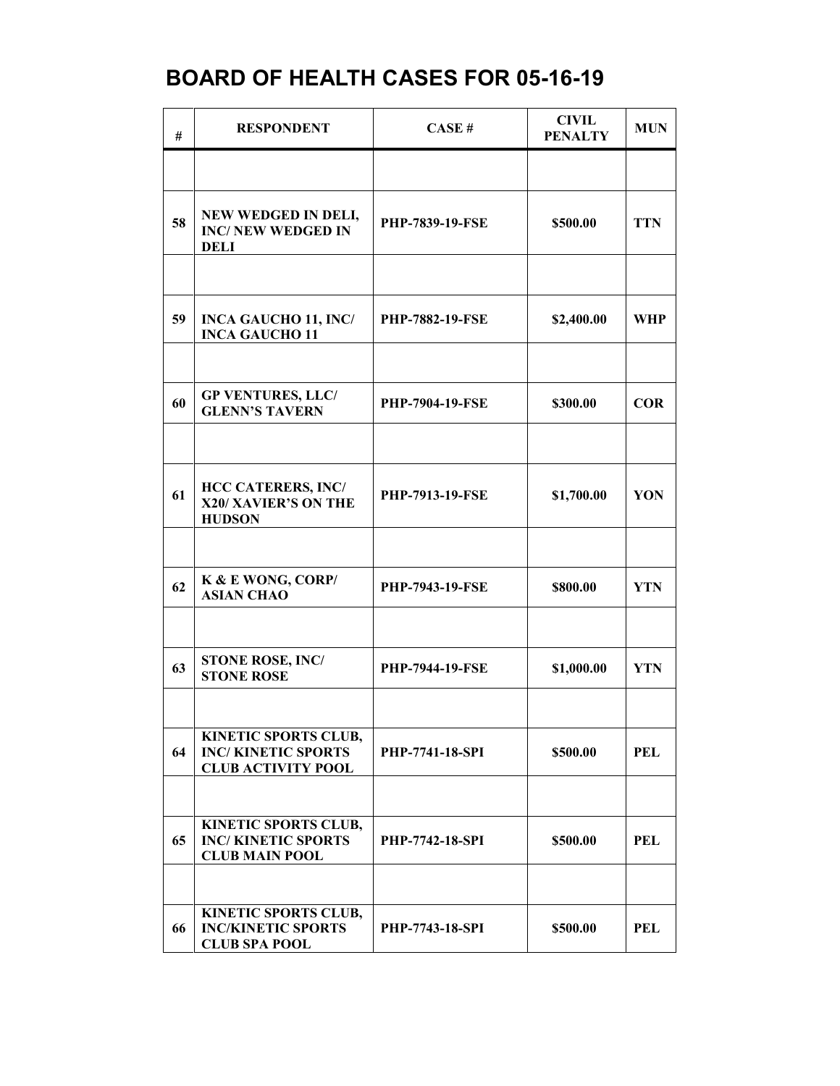| #  | <b>RESPONDENT</b>                                                              | CASE#                  | <b>CIVIL</b><br><b>PENALTY</b> | <b>MUN</b> |
|----|--------------------------------------------------------------------------------|------------------------|--------------------------------|------------|
|    |                                                                                |                        |                                |            |
| 58 | NEW WEDGED IN DELI,<br><b>INC/ NEW WEDGED IN</b><br><b>DELI</b>                | PHP-7839-19-FSE        | \$500.00                       | <b>TTN</b> |
|    |                                                                                |                        |                                |            |
| 59 | <b>INCA GAUCHO 11, INC/</b><br><b>INCA GAUCHO 11</b>                           | <b>PHP-7882-19-FSE</b> | \$2,400.00                     | WHP        |
|    |                                                                                |                        |                                |            |
| 60 | <b>GP VENTURES, LLC/</b><br><b>GLENN'S TAVERN</b>                              | <b>PHP-7904-19-FSE</b> | \$300.00                       | <b>COR</b> |
|    |                                                                                |                        |                                |            |
| 61 | <b>HCC CATERERS, INC/</b><br>X20/ XAVIER'S ON THE<br><b>HUDSON</b>             | <b>PHP-7913-19-FSE</b> | \$1,700.00                     | YON        |
|    |                                                                                |                        |                                |            |
| 62 | K & E WONG, CORP/<br><b>ASIAN CHAO</b>                                         | <b>PHP-7943-19-FSE</b> | \$800.00                       | <b>YTN</b> |
|    |                                                                                |                        |                                |            |
| 63 | <b>STONE ROSE, INC/</b><br><b>STONE ROSE</b>                                   | PHP-7944-19-FSE        | \$1,000.00                     | <b>YTN</b> |
|    |                                                                                |                        |                                |            |
| 64 | KINETIC SPORTS CLUB,<br><b>INC/KINETIC SPORTS</b><br><b>CLUB ACTIVITY POOL</b> | <b>PHP-7741-18-SPI</b> | \$500.00                       | <b>PEL</b> |
|    |                                                                                |                        |                                |            |
| 65 | KINETIC SPORTS CLUB,<br><b>INC/KINETIC SPORTS</b><br><b>CLUB MAIN POOL</b>     | <b>PHP-7742-18-SPI</b> | \$500.00                       | <b>PEL</b> |
|    |                                                                                |                        |                                |            |
| 66 | KINETIC SPORTS CLUB,<br><b>INC/KINETIC SPORTS</b><br><b>CLUB SPA POOL</b>      | <b>PHP-7743-18-SPI</b> | \$500.00                       | <b>PEL</b> |